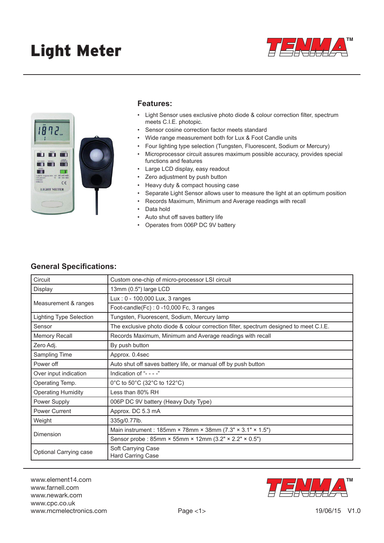



#### **Features:**

- Light Sensor uses exclusive photo diode & colour correction filter, spectrum meets C.I.E. photopic.
- Sensor cosine correction factor meets standard
- Wide range measurement both for Lux & Foot Candle units
- Four lighting type selection (Tungsten, Fluorescent, Sodium or Mercury)
- Microprocessor circuit assures maximum possible accuracy, provides special functions and features
- Large LCD display, easy readout
- Zero adjustment by push button
- Heavy duty & compact housing case
- Separate Light Sensor allows user to measure the light at an optimum position
- Records Maximum, Minimum and Average readings with recall
- Data hold
- Auto shut off saves battery life
- Operates from 006P DC 9V battery

### **General Specifications:**

| Circuit                        | Custom one-chip of micro-processor LSI circuit                                         |  |  |
|--------------------------------|----------------------------------------------------------------------------------------|--|--|
| Display                        | 13mm (0.5") large LCD                                                                  |  |  |
| Measurement & ranges           | Lux: 0 - 100,000 Lux, 3 ranges                                                         |  |  |
|                                | Foot-candle(Fc): 0 -10,000 Fc, 3 ranges                                                |  |  |
| <b>Lighting Type Selection</b> | Tungsten, Fluorescent, Sodium, Mercury lamp                                            |  |  |
| Sensor                         | The exclusive photo diode & colour correction filter, spectrum designed to meet C.I.E. |  |  |
| <b>Memory Recall</b>           | Records Maximum, Minimum and Average readings with recall                              |  |  |
| Zero Adj.                      | By push button                                                                         |  |  |
| Sampling Time                  | Approx. 0.4sec                                                                         |  |  |
| Power off                      | Auto shut off saves battery life, or manual off by push button                         |  |  |
| Over input indication          | Indication of "- - - -"                                                                |  |  |
| Operating Temp.                | 0°C to 50°C (32°C to 122°C)                                                            |  |  |
| <b>Operating Humidity</b>      | Less than 80% RH                                                                       |  |  |
| Power Supply                   | 006P DC 9V battery (Heavy Duty Type)                                                   |  |  |
| <b>Power Current</b>           | Approx. DC 5.3 mA                                                                      |  |  |
| Weight                         | 335g/0.77lb.                                                                           |  |  |
| Dimension                      | Main instrument: 185mm × 78mm × 38mm (7.3" × 3.1" × 1.5")                              |  |  |
|                                | Sensor probe : 85mm × 55mm × 12mm (3.2" × 2.2" × 0.5")                                 |  |  |
| Optional Carrying case         | Soft Carrying Case<br><b>Hard Carring Case</b>                                         |  |  |